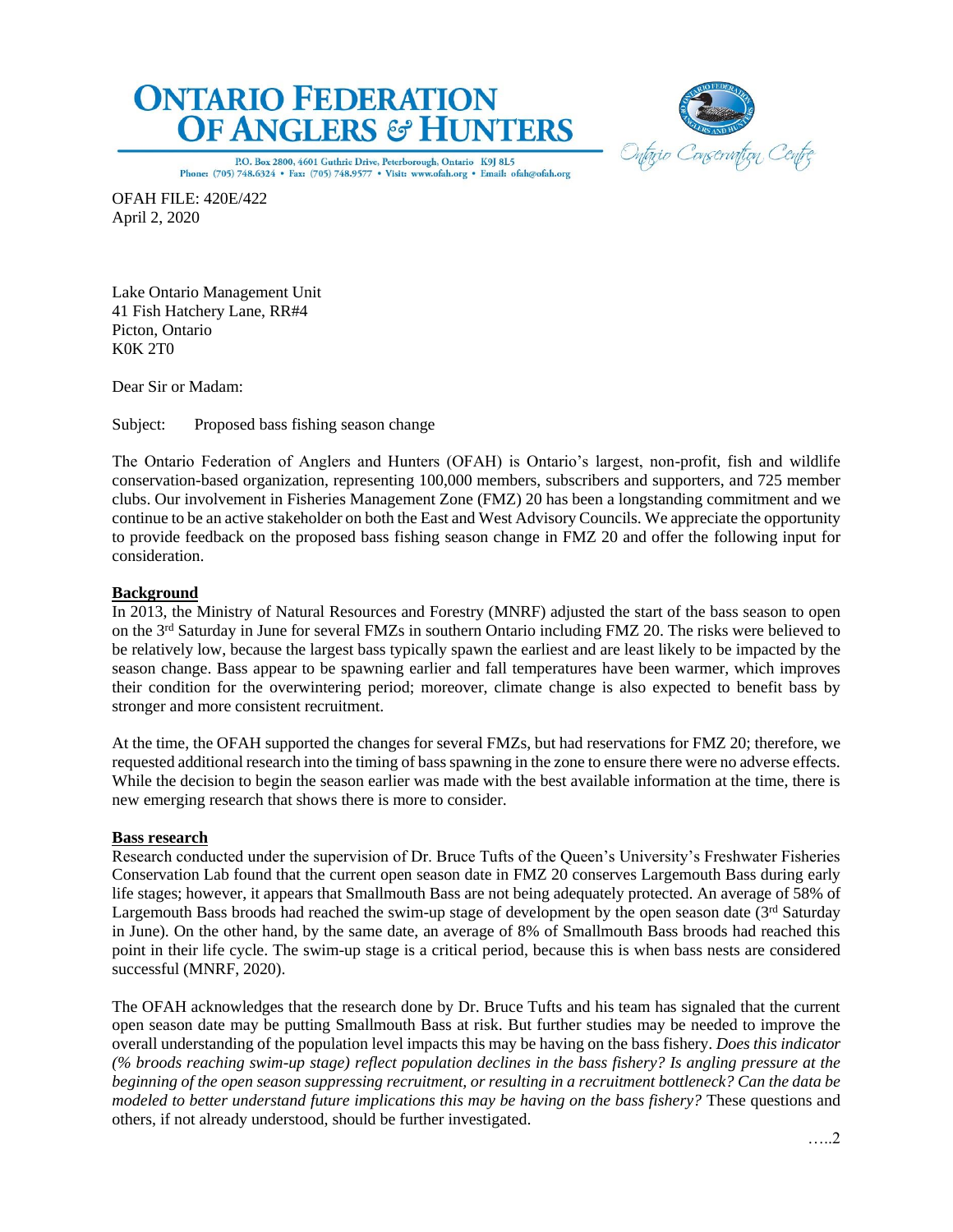



P.O. Box 2800, 4601 Guthrie Drive, Peterborough, Ontario K9J 8L5 Phone: (705) 748.6324 . Fax: (705) 748.9577 . Visit: www.ofah.org . Email: ofah@ofah.org

OFAH FILE: 420E/422 April 2, 2020

Lake Ontario Management Unit 41 Fish Hatchery Lane, RR#4 Picton, Ontario K0K 2T0

Dear Sir or Madam:

Subject: Proposed bass fishing season change

The Ontario Federation of Anglers and Hunters (OFAH) is Ontario's largest, non-profit, fish and wildlife conservation-based organization, representing 100,000 members, subscribers and supporters, and 725 member clubs. Our involvement in Fisheries Management Zone (FMZ) 20 has been a longstanding commitment and we continue to be an active stakeholder on both the East and West Advisory Councils. We appreciate the opportunity to provide feedback on the proposed bass fishing season change in FMZ 20 and offer the following input for consideration.

# **Background**

In 2013, the Ministry of Natural Resources and Forestry (MNRF) adjusted the start of the bass season to open on the 3rd Saturday in June for several FMZs in southern Ontario including FMZ 20. The risks were believed to be relatively low, because the largest bass typically spawn the earliest and are least likely to be impacted by the season change. Bass appear to be spawning earlier and fall temperatures have been warmer, which improves their condition for the overwintering period; moreover, climate change is also expected to benefit bass by stronger and more consistent recruitment.

At the time, the OFAH supported the changes for several FMZs, but had reservations for FMZ 20; therefore, we requested additional research into the timing of bass spawning in the zone to ensure there were no adverse effects. While the decision to begin the season earlier was made with the best available information at the time, there is new emerging research that shows there is more to consider.

#### **Bass research**

Research conducted under the supervision of Dr. Bruce Tufts of the Queen's University's Freshwater Fisheries Conservation Lab found that the current open season date in FMZ 20 conserves Largemouth Bass during early life stages; however, it appears that Smallmouth Bass are not being adequately protected. An average of 58% of Largemouth Bass broods had reached the swim-up stage of development by the open season date (3rd Saturday in June). On the other hand, by the same date, an average of 8% of Smallmouth Bass broods had reached this point in their life cycle. The swim-up stage is a critical period, because this is when bass nests are considered successful (MNRF, 2020).

The OFAH acknowledges that the research done by Dr. Bruce Tufts and his team has signaled that the current open season date may be putting Smallmouth Bass at risk. But further studies may be needed to improve the overall understanding of the population level impacts this may be having on the bass fishery. *Does this indicator (% broods reaching swim-up stage) reflect population declines in the bass fishery? Is angling pressure at the beginning of the open season suppressing recruitment, or resulting in a recruitment bottleneck? Can the data be modeled to better understand future implications this may be having on the bass fishery?* These questions and others, if not already understood, should be further investigated.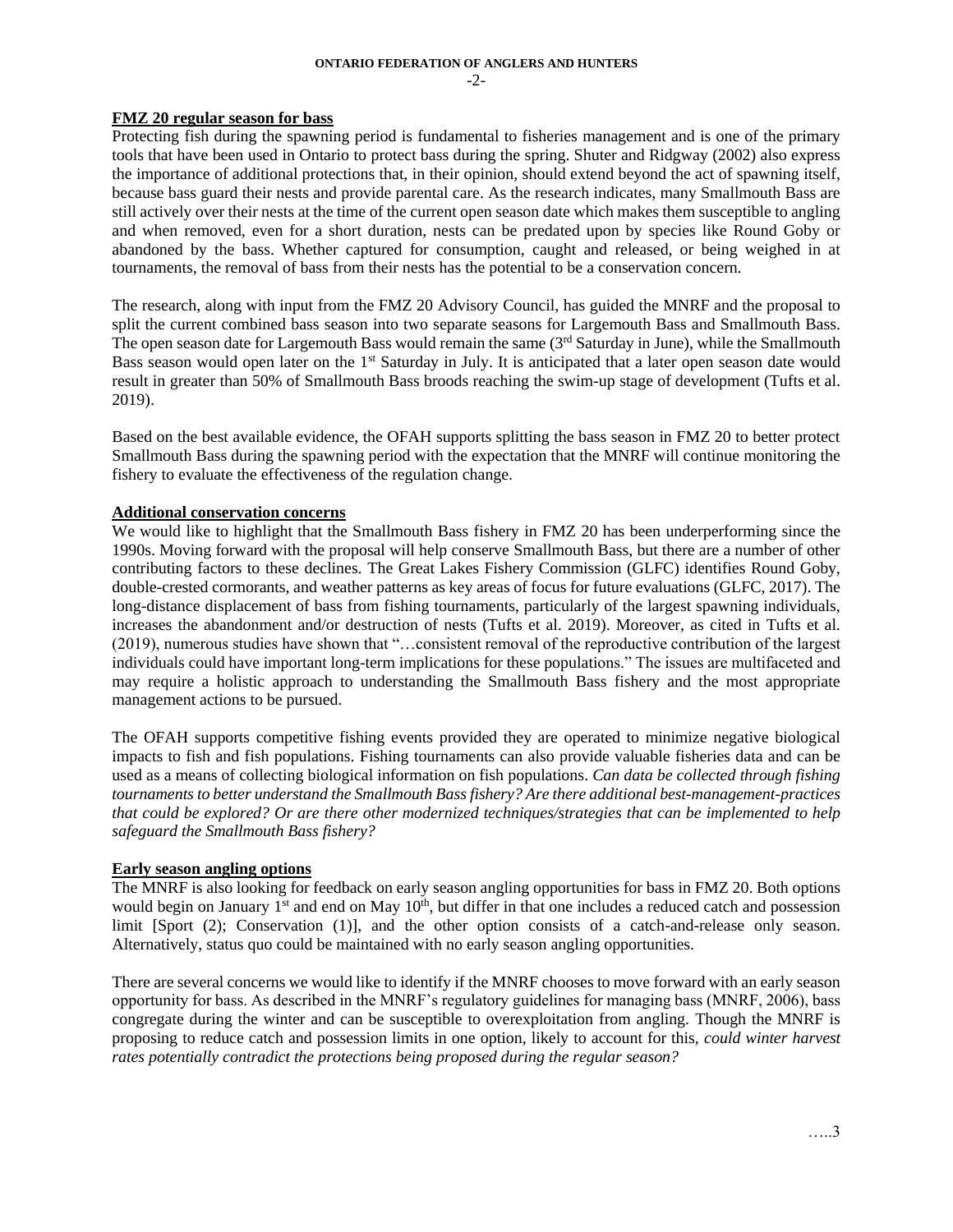# **ONTARIO FEDERATION OF ANGLERS AND HUNTERS**

 $-2$ 

## **FMZ 20 regular season for bass**

Protecting fish during the spawning period is fundamental to fisheries management and is one of the primary tools that have been used in Ontario to protect bass during the spring. Shuter and Ridgway (2002) also express the importance of additional protections that, in their opinion, should extend beyond the act of spawning itself, because bass guard their nests and provide parental care. As the research indicates, many Smallmouth Bass are still actively over their nests at the time of the current open season date which makes them susceptible to angling and when removed, even for a short duration, nests can be predated upon by species like Round Goby or abandoned by the bass. Whether captured for consumption, caught and released, or being weighed in at tournaments, the removal of bass from their nests has the potential to be a conservation concern.

The research, along with input from the FMZ 20 Advisory Council, has guided the MNRF and the proposal to split the current combined bass season into two separate seasons for Largemouth Bass and Smallmouth Bass. The open season date for Largemouth Bass would remain the same (3rd Saturday in June), while the Smallmouth Bass season would open later on the 1<sup>st</sup> Saturday in July. It is anticipated that a later open season date would result in greater than 50% of Smallmouth Bass broods reaching the swim-up stage of development (Tufts et al. 2019).

Based on the best available evidence, the OFAH supports splitting the bass season in FMZ 20 to better protect Smallmouth Bass during the spawning period with the expectation that the MNRF will continue monitoring the fishery to evaluate the effectiveness of the regulation change.

# **Additional conservation concerns**

We would like to highlight that the Smallmouth Bass fishery in FMZ 20 has been underperforming since the 1990s. Moving forward with the proposal will help conserve Smallmouth Bass, but there are a number of other contributing factors to these declines. The Great Lakes Fishery Commission (GLFC) identifies Round Goby, double-crested cormorants, and weather patterns as key areas of focus for future evaluations (GLFC, 2017). The long-distance displacement of bass from fishing tournaments, particularly of the largest spawning individuals, increases the abandonment and/or destruction of nests (Tufts et al. 2019). Moreover, as cited in Tufts et al. (2019), numerous studies have shown that "…consistent removal of the reproductive contribution of the largest individuals could have important long-term implications for these populations." The issues are multifaceted and may require a holistic approach to understanding the Smallmouth Bass fishery and the most appropriate management actions to be pursued.

The OFAH supports competitive fishing events provided they are operated to minimize negative biological impacts to fish and fish populations. Fishing tournaments can also provide valuable fisheries data and can be used as a means of collecting biological information on fish populations. *Can data be collected through fishing tournaments to better understand the Smallmouth Bass fishery? Are there additional best-management-practices that could be explored? Or are there other modernized techniques/strategies that can be implemented to help safeguard the Smallmouth Bass fishery?*

#### **Early season angling options**

The MNRF is also looking for feedback on early season angling opportunities for bass in FMZ 20. Both options would begin on January 1<sup>st</sup> and end on May 10<sup>th</sup>, but differ in that one includes a reduced catch and possession limit [Sport (2); Conservation (1)], and the other option consists of a catch-and-release only season. Alternatively, status quo could be maintained with no early season angling opportunities.

There are several concerns we would like to identify if the MNRF chooses to move forward with an early season opportunity for bass. As described in the MNRF's regulatory guidelines for managing bass (MNRF, 2006), bass congregate during the winter and can be susceptible to overexploitation from angling. Though the MNRF is proposing to reduce catch and possession limits in one option, likely to account for this, *could winter harvest rates potentially contradict the protections being proposed during the regular season?*